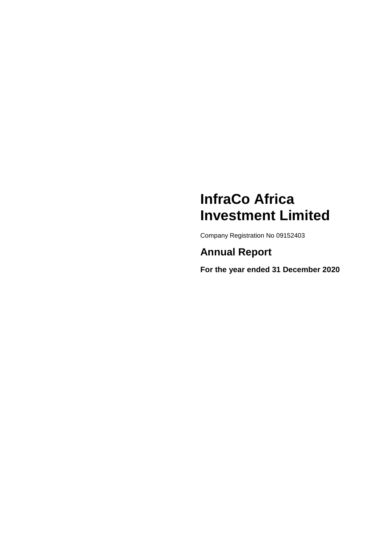# **InfraCo Africa Investment Limited**

Company Registration No 09152403

**Annual Report**

**For the year ended 31 December 2020**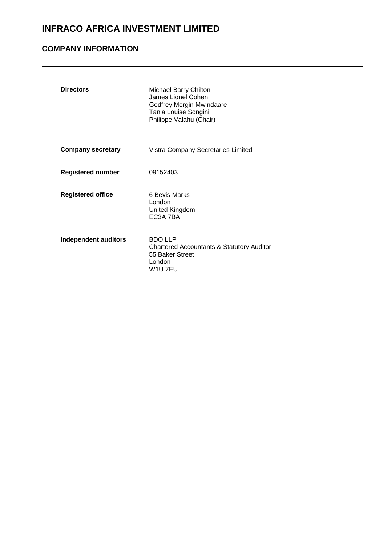## **COMPANY INFORMATION**

| <b>Directors</b>         | <b>Michael Barry Chilton</b><br>James Lionel Cohen<br>Godfrey Morgin Mwindaare<br>Tania Louise Songini<br>Philippe Valahu (Chair) |
|--------------------------|-----------------------------------------------------------------------------------------------------------------------------------|
| <b>Company secretary</b> | Vistra Company Secretaries Limited                                                                                                |
| <b>Registered number</b> | 09152403                                                                                                                          |
| <b>Registered office</b> | 6 Bevis Marks<br>London<br>United Kingdom<br>EC <sub>3</sub> A 7BA                                                                |
| Independent auditors     | <b>BDO LLP</b><br>Chartered Accountants & Statutory Auditor<br>55 Baker Street<br>London<br>W1U 7EU                               |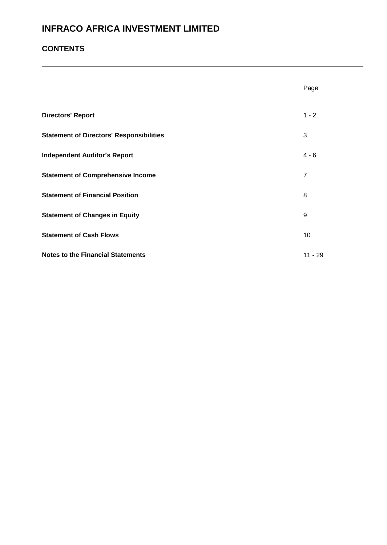## **CONTENTS**

|                                                 | Page           |
|-------------------------------------------------|----------------|
| <b>Directors' Report</b>                        | $1 - 2$        |
| <b>Statement of Directors' Responsibilities</b> | 3              |
| <b>Independent Auditor's Report</b>             | $4 - 6$        |
| <b>Statement of Comprehensive Income</b>        | $\overline{7}$ |
| <b>Statement of Financial Position</b>          | 8              |
| <b>Statement of Changes in Equity</b>           | 9              |
| <b>Statement of Cash Flows</b>                  | 10             |
| <b>Notes to the Financial Statements</b>        | $11 - 29$      |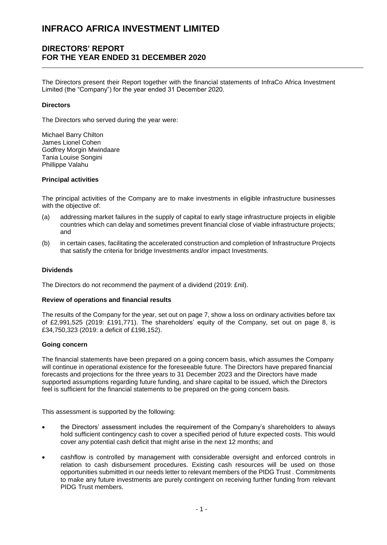### **DIRECTORS' REPORT FOR THE YEAR ENDED 31 DECEMBER 2020**

The Directors present their Report together with the financial statements of InfraCo Africa Investment Limited (the "Company") for the year ended 31 December 2020.

#### **Directors**

The Directors who served during the year were:

Michael Barry Chilton James Lionel Cohen Godfrey Morgin Mwindaare Tania Louise Songini Phillippe Valahu

#### **Principal activities**

The principal activities of the Company are to make investments in eligible infrastructure businesses with the objective of:

- (a) addressing market failures in the supply of capital to early stage infrastructure projects in eligible countries which can delay and sometimes prevent financial close of viable infrastructure projects; and
- (b) in certain cases, facilitating the accelerated construction and completion of Infrastructure Projects that satisfy the criteria for bridge Investments and/or impact Investments.

#### **Dividends**

The Directors do not recommend the payment of a dividend (2019: £nil).

#### **Review of operations and financial results**

The results of the Company for the year, set out on page 7, show a loss on ordinary activities before tax of £2,991,525 (2019: £191,771). The shareholders' equity of the Company, set out on page 8, is £34,750,323 (2019: a deficit of £198,152).

#### **Going concern**

The financial statements have been prepared on a going concern basis, which assumes the Company will continue in operational existence for the foreseeable future. The Directors have prepared financial forecasts and projections for the three years to 31 December 2023 and the Directors have made supported assumptions regarding future funding, and share capital to be issued, which the Directors feel is sufficient for the financial statements to be prepared on the going concern basis.

This assessment is supported by the following:

- the Directors' assessment includes the requirement of the Company's shareholders to always hold sufficient contingency cash to cover a specified period of future expected costs. This would cover any potential cash deficit that might arise in the next 12 months; and
- cashflow is controlled by management with considerable oversight and enforced controls in relation to cash disbursement procedures. Existing cash resources will be used on those opportunities submitted in our needs letter to relevant members of the PIDG Trust . Commitments to make any future investments are purely contingent on receiving further funding from relevant PIDG Trust members.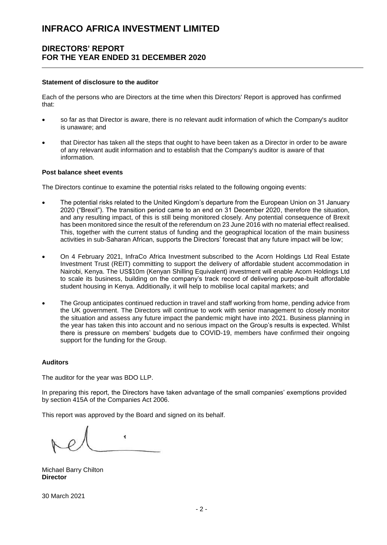### **DIRECTORS' REPORT FOR THE YEAR ENDED 31 DECEMBER 2020**

#### **Statement of disclosure to the auditor**

Each of the persons who are Directors at the time when this Directors' Report is approved has confirmed that:

- so far as that Director is aware, there is no relevant audit information of which the Company's auditor is unaware; and
- that Director has taken all the steps that ought to have been taken as a Director in order to be aware of any relevant audit information and to establish that the Company's auditor is aware of that information.

#### **Post balance sheet events**

The Directors continue to examine the potential risks related to the following ongoing events:

- The potential risks related to the United Kingdom's departure from the European Union on 31 January 2020 ("Brexit"). The transition period came to an end on 31 December 2020, therefore the situation, and any resulting impact, of this is still being monitored closely. Any potential consequence of Brexit has been monitored since the result of the referendum on 23 June 2016 with no material effect realised. This, together with the current status of funding and the geographical location of the main business activities in sub-Saharan African, supports the Directors' forecast that any future impact will be low;
- On 4 February 2021, InfraCo Africa Investment subscribed to the Acorn Holdings Ltd Real Estate Investment Trust (REIT) committing to support the delivery of affordable student accommodation in Nairobi, Kenya. The US\$10m (Kenyan Shilling Equivalent) investment will enable Acorn Holdings Ltd to scale its business, building on the company's track record of delivering purpose-built affordable student housing in Kenya. Additionally, it will help to mobilise local capital markets; and
- The Group anticipates continued reduction in travel and staff working from home, pending advice from the UK government. The Directors will continue to work with senior management to closely monitor the situation and assess any future impact the pandemic might have into 2021. Business planning in the year has taken this into account and no serious impact on the Group's results is expected. Whilst there is pressure on members' budgets due to COVID-19, members have confirmed their ongoing support for the funding for the Group.

#### **Auditors**

The auditor for the year was BDO LLP.

In preparing this report, the Directors have taken advantage of the small companies' exemptions provided by section 415A of the Companies Act 2006.

This report was approved by the Board and signed on its behalf.

ł.

Michael Barry Chilton **Director**

30 March 2021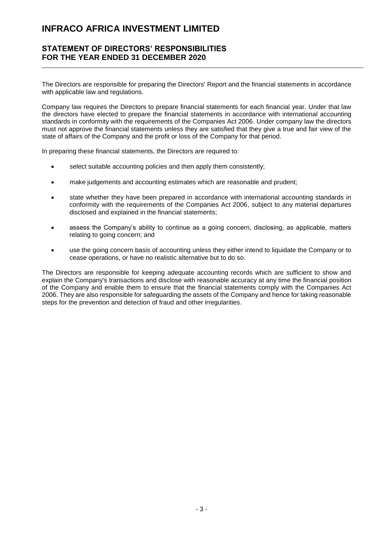### **STATEMENT OF DIRECTORS' RESPONSIBILITIES FOR THE YEAR ENDED 31 DECEMBER 2020**

The Directors are responsible for preparing the Directors' Report and the financial statements in accordance with applicable law and regulations.

Company law requires the Directors to prepare financial statements for each financial year. Under that law the directors have elected to prepare the financial statements in accordance with international accounting standards in conformity with the requirements of the Companies Act 2006. Under company law the directors must not approve the financial statements unless they are satisfied that they give a true and fair view of the state of affairs of the Company and the profit or loss of the Company for that period.

In preparing these financial statements, the Directors are required to:

- select suitable accounting policies and then apply them consistently;
- make judgements and accounting estimates which are reasonable and prudent;
- state whether they have been prepared in accordance with international accounting standards in conformity with the requirements of the Companies Act 2006, subject to any material departures disclosed and explained in the financial statements;
- assess the Company's ability to continue as a going concern, disclosing, as applicable, matters relating to going concern; and
- use the going concern basis of accounting unless they either intend to liquidate the Company or to cease operations, or have no realistic alternative but to do so.

The Directors are responsible for keeping adequate accounting records which are sufficient to show and explain the Company's transactions and disclose with reasonable accuracy at any time the financial position of the Company and enable them to ensure that the financial statements comply with the Companies Act 2006. They are also responsible for safeguarding the assets of the Company and hence for taking reasonable steps for the prevention and detection of fraud and other irregularities.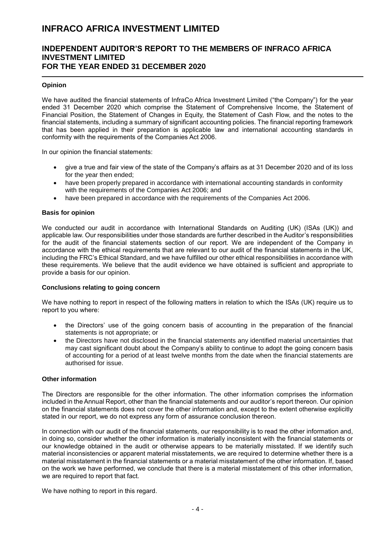### **INDEPENDENT AUDITOR'S REPORT TO THE MEMBERS OF INFRACO AFRICA INVESTMENT LIMITED FOR THE YEAR ENDED 31 DECEMBER 2020**

#### **Opinion**

We have audited the financial statements of InfraCo Africa Investment Limited ("the Company") for the vear ended 31 December 2020 which comprise the Statement of Comprehensive Income, the Statement of Financial Position, the Statement of Changes in Equity, the Statement of Cash Flow, and the notes to the financial statements, including a summary of significant accounting policies. The financial reporting framework that has been applied in their preparation is applicable law and international accounting standards in conformity with the requirements of the Companies Act 2006.

In our opinion the financial statements:

- give a true and fair view of the state of the Company's affairs as at 31 December 2020 and of its loss for the year then ended;
- have been properly prepared in accordance with international accounting standards in conformity with the requirements of the Companies Act 2006; and
- have been prepared in accordance with the requirements of the Companies Act 2006.

#### **Basis for opinion**

We conducted our audit in accordance with International Standards on Auditing (UK) (ISAs (UK)) and applicable law. Our responsibilities under those standards are further described in the Auditor's responsibilities for the audit of the financial statements section of our report. We are independent of the Company in accordance with the ethical requirements that are relevant to our audit of the financial statements in the UK, including the FRC's Ethical Standard, and we have fulfilled our other ethical responsibilities in accordance with these requirements. We believe that the audit evidence we have obtained is sufficient and appropriate to provide a basis for our opinion.

#### **Conclusions relating to going concern**

We have nothing to report in respect of the following matters in relation to which the ISAs (UK) require us to report to you where:

- the Directors' use of the going concern basis of accounting in the preparation of the financial statements is not appropriate; or
- the Directors have not disclosed in the financial statements any identified material uncertainties that may cast significant doubt about the Company's ability to continue to adopt the going concern basis of accounting for a period of at least twelve months from the date when the financial statements are authorised for issue.

### **Other information**

The Directors are responsible for the other information. The other information comprises the information included in the Annual Report, other than the financial statements and our auditor's report thereon. Our opinion on the financial statements does not cover the other information and, except to the extent otherwise explicitly stated in our report, we do not express any form of assurance conclusion thereon.

In connection with our audit of the financial statements, our responsibility is to read the other information and, in doing so, consider whether the other information is materially inconsistent with the financial statements or our knowledge obtained in the audit or otherwise appears to be materially misstated. If we identify such material inconsistencies or apparent material misstatements, we are required to determine whether there is a material misstatement in the financial statements or a material misstatement of the other information. If, based on the work we have performed, we conclude that there is a material misstatement of this other information, we are required to report that fact.

We have nothing to report in this regard.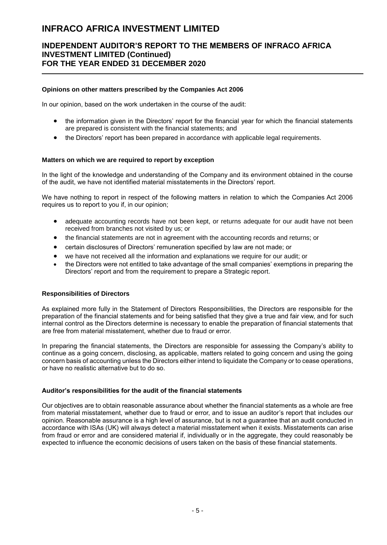### **INDEPENDENT AUDITOR'S REPORT TO THE MEMBERS OF INFRACO AFRICA INVESTMENT LIMITED (Continued) FOR THE YEAR ENDED 31 DECEMBER 2020**

#### **Opinions on other matters prescribed by the Companies Act 2006**

In our opinion, based on the work undertaken in the course of the audit:

- the information given in the Directors' report for the financial year for which the financial statements are prepared is consistent with the financial statements; and
- the Directors' report has been prepared in accordance with applicable legal requirements.

#### **Matters on which we are required to report by exception**

In the light of the knowledge and understanding of the Company and its environment obtained in the course of the audit, we have not identified material misstatements in the Directors' report.

We have nothing to report in respect of the following matters in relation to which the Companies Act 2006 requires us to report to you if, in our opinion;

- adequate accounting records have not been kept, or returns adequate for our audit have not been received from branches not visited by us; or
- the financial statements are not in agreement with the accounting records and returns; or
- certain disclosures of Directors' remuneration specified by law are not made; or
- we have not received all the information and explanations we require for our audit; or
- the Directors were not entitled to take advantage of the small companies' exemptions in preparing the Directors' report and from the requirement to prepare a Strategic report.

#### **Responsibilities of Directors**

As explained more fully in the Statement of Directors Responsibilities, the Directors are responsible for the preparation of the financial statements and for being satisfied that they give a true and fair view, and for such internal control as the Directors determine is necessary to enable the preparation of financial statements that are free from material misstatement, whether due to fraud or error.

In preparing the financial statements, the Directors are responsible for assessing the Company's ability to continue as a going concern, disclosing, as applicable, matters related to going concern and using the going concern basis of accounting unless the Directors either intend to liquidate the Company or to cease operations, or have no realistic alternative but to do so.

#### **Auditor's responsibilities for the audit of the financial statements**

Our objectives are to obtain reasonable assurance about whether the financial statements as a whole are free from material misstatement, whether due to fraud or error, and to issue an auditor's report that includes our opinion. Reasonable assurance is a high level of assurance, but is not a guarantee that an audit conducted in accordance with ISAs (UK) will always detect a material misstatement when it exists. Misstatements can arise from fraud or error and are considered material if, individually or in the aggregate, they could reasonably be expected to influence the economic decisions of users taken on the basis of these financial statements.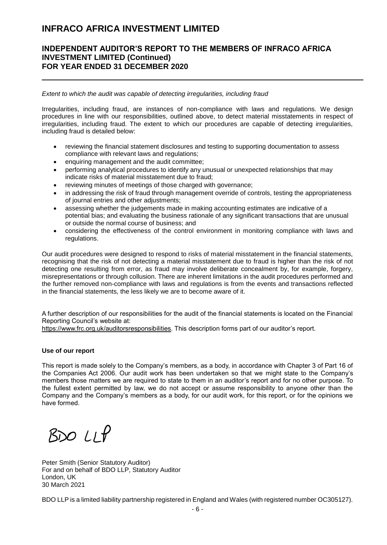### **INDEPENDENT AUDITOR'S REPORT TO THE MEMBERS OF INFRACO AFRICA INVESTMENT LIMITED (Continued) FOR YEAR ENDED 31 DECEMBER 2020**

*Extent to which the audit was capable of detecting irregularities, including fraud*

Irregularities, including fraud, are instances of non-compliance with laws and regulations. We design procedures in line with our responsibilities, outlined above, to detect material misstatements in respect of irregularities, including fraud. The extent to which our procedures are capable of detecting irregularities, including fraud is detailed below:

- reviewing the financial statement disclosures and testing to supporting documentation to assess compliance with relevant laws and regulations;
- enquiring management and the audit committee;
- performing analytical procedures to identify any unusual or unexpected relationships that may indicate risks of material misstatement due to fraud;
- reviewing minutes of meetings of those charged with governance;
- in addressing the risk of fraud through management override of controls, testing the appropriateness of journal entries and other adjustments;
- assessing whether the judgements made in making accounting estimates are indicative of a potential bias; and evaluating the business rationale of any significant transactions that are unusual or outside the normal course of business; and
- considering the effectiveness of the control environment in monitoring compliance with laws and regulations.

Our audit procedures were designed to respond to risks of material misstatement in the financial statements, recognising that the risk of not detecting a material misstatement due to fraud is higher than the risk of not detecting one resulting from error, as fraud may involve deliberate concealment by, for example, forgery, misrepresentations or through collusion. There are inherent limitations in the audit procedures performed and the further removed non-compliance with laws and regulations is from the events and transactions reflected in the financial statements, the less likely we are to become aware of it.

A further description of our responsibilities for the audit of the financial statements is located on the Financial Reporting Council's website at:

[https://www.frc.org.uk/auditorsresponsibilities.](https://www.frc.org.uk/auditorsresponsibilities) This description forms part of our auditor's report.

#### **Use of our report**

This report is made solely to the Company's members, as a body, in accordance with Chapter 3 of Part 16 of the Companies Act 2006. Our audit work has been undertaken so that we might state to the Company's members those matters we are required to state to them in an auditor's report and for no other purpose. To the fullest extent permitted by law, we do not accept or assume responsibility to anyone other than the Company and the Company's members as a body, for our audit work, for this report, or for the opinions we have formed.

 $BDOLI$ 

Peter Smith (Senior Statutory Auditor) For and on behalf of BDO LLP, Statutory Auditor London, UK 30 March 2021

BDO LLP is a limited liability partnership registered in England and Wales (with registered number OC305127).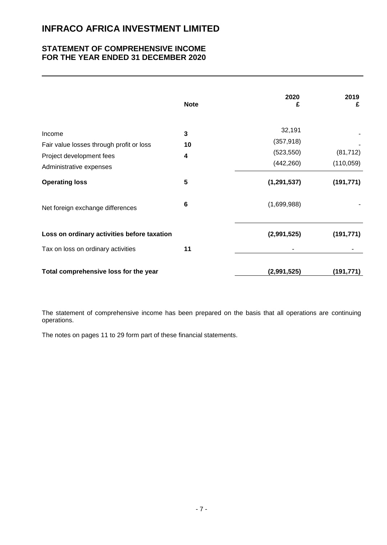### **STATEMENT OF COMPREHENSIVE INCOME FOR THE YEAR ENDED 31 DECEMBER 2020**

|                                                                                                           | <b>Note</b>  | 2020<br>£                                        | 2019<br>£               |
|-----------------------------------------------------------------------------------------------------------|--------------|--------------------------------------------------|-------------------------|
| Income<br>Fair value losses through profit or loss<br>Project development fees<br>Administrative expenses | 3<br>10<br>4 | 32,191<br>(357, 918)<br>(523, 550)<br>(442, 260) | (81, 712)<br>(110, 059) |
| <b>Operating loss</b>                                                                                     | 5            | (1, 291, 537)                                    | (191, 771)              |
| Net foreign exchange differences                                                                          | 6            | (1,699,988)                                      |                         |
| Loss on ordinary activities before taxation                                                               |              | (2,991,525)                                      | (191, 771)              |
| Tax on loss on ordinary activities                                                                        | 11           |                                                  |                         |
| Total comprehensive loss for the year                                                                     |              | (2,991,525)                                      | (191, 771)              |

The statement of comprehensive income has been prepared on the basis that all operations are continuing operations.

The notes on pages 11 to 29 form part of these financial statements.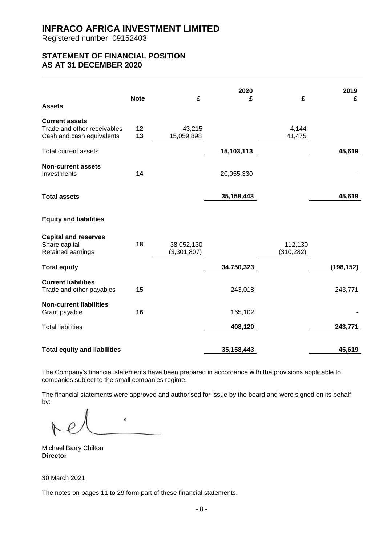Registered number: 09152403

### **STATEMENT OF FINANCIAL POSITION AS AT 31 DECEMBER 2020**

| <b>Assets</b>                                                                     | <b>Note</b> | £                         | 2020<br>£    | £                     | 2019<br>£  |
|-----------------------------------------------------------------------------------|-------------|---------------------------|--------------|-----------------------|------------|
| <b>Current assets</b><br>Trade and other receivables<br>Cash and cash equivalents | 12<br>13    | 43,215<br>15,059,898      |              | 4,144<br>41,475       |            |
| Total current assets                                                              |             |                           | 15,103,113   |                       | 45,619     |
| <b>Non-current assets</b><br>Investments                                          | 14          |                           | 20,055,330   |                       |            |
| <b>Total assets</b>                                                               |             |                           | 35, 158, 443 |                       | 45,619     |
| <b>Equity and liabilities</b>                                                     |             |                           |              |                       |            |
| <b>Capital and reserves</b><br>Share capital<br>Retained earnings                 | 18          | 38,052,130<br>(3,301,807) |              | 112,130<br>(310, 282) |            |
| <b>Total equity</b>                                                               |             |                           | 34,750,323   |                       | (198, 152) |
| <b>Current liabilities</b><br>Trade and other payables                            | 15          |                           | 243,018      |                       | 243,771    |
| <b>Non-current liabilities</b><br>Grant payable                                   | 16          |                           | 165,102      |                       |            |
| <b>Total liabilities</b>                                                          |             |                           | 408,120      |                       | 243,771    |
| <b>Total equity and liabilities</b>                                               |             |                           | 35,158,443   |                       | 45,619     |

The Company's financial statements have been prepared in accordance with the provisions applicable to companies subject to the small companies regime.

The financial statements were approved and authorised for issue by the board and were signed on its behalf by:

 $\overline{\mathbf{t}}$ 

Michael Barry Chilton **Director**

30 March 2021

The notes on pages 11 to 29 form part of these financial statements.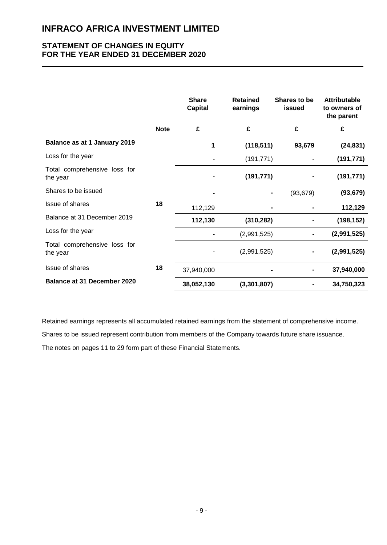### **STATEMENT OF CHANGES IN EQUITY FOR THE YEAR ENDED 31 DECEMBER 2020**

|                                          |             | <b>Share</b><br><b>Capital</b> | <b>Retained</b><br>earnings | Shares to be<br>issued | <b>Attributable</b><br>to owners of<br>the parent |
|------------------------------------------|-------------|--------------------------------|-----------------------------|------------------------|---------------------------------------------------|
|                                          | <b>Note</b> | £                              | £                           | £                      | £                                                 |
| Balance as at 1 January 2019             |             | 1                              | (118, 511)                  | 93,679                 | (24, 831)                                         |
| Loss for the year                        |             |                                | (191, 771)                  |                        | (191, 771)                                        |
| Total comprehensive loss for<br>the year |             |                                | (191, 771)                  |                        | (191, 771)                                        |
| Shares to be issued                      |             |                                |                             | (93, 679)              | (93, 679)                                         |
| Issue of shares                          | 18          | 112,129                        |                             |                        | 112,129                                           |
| Balance at 31 December 2019              |             | 112,130                        | (310, 282)                  |                        | (198, 152)                                        |
| Loss for the year                        |             | ۰                              | (2,991,525)                 | ٠                      | (2,991,525)                                       |
| Total comprehensive loss for<br>the year |             |                                | (2,991,525)                 |                        | (2,991,525)                                       |
| Issue of shares                          | 18          | 37,940,000                     |                             |                        | 37,940,000                                        |
| <b>Balance at 31 December 2020</b>       |             | 38,052,130                     | (3,301,807)                 |                        | 34,750,323                                        |

Retained earnings represents all accumulated retained earnings from the statement of comprehensive income.

Shares to be issued represent contribution from members of the Company towards future share issuance.

The notes on pages 11 to 29 form part of these Financial Statements.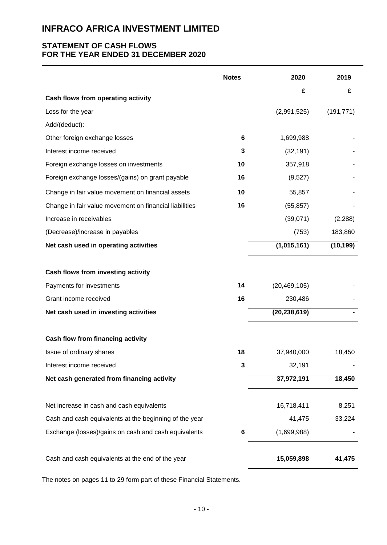### **STATEMENT OF CASH FLOWS FOR THE YEAR ENDED 31 DECEMBER 2020**

|                                                        | <b>Notes</b> | 2020           | 2019       |
|--------------------------------------------------------|--------------|----------------|------------|
|                                                        |              | £              | £          |
| Cash flows from operating activity                     |              | (2,991,525)    |            |
| Loss for the year                                      |              |                | (191, 771) |
| Add/(deduct):                                          |              |                |            |
| Other foreign exchange losses                          | 6            | 1,699,988      |            |
| Interest income received                               | 3            | (32, 191)      |            |
| Foreign exchange losses on investments                 | 10           | 357,918        |            |
| Foreign exchange losses/(gains) on grant payable       | 16           | (9,527)        |            |
| Change in fair value movement on financial assets      | 10           | 55,857         |            |
| Change in fair value movement on financial liabilities | 16           | (55, 857)      |            |
| Increase in receivables                                |              | (39,071)       | (2, 288)   |
| (Decrease)/increase in payables                        |              | (753)          | 183,860    |
| Net cash used in operating activities                  |              | (1,015,161)    | (10, 199)  |
| Cash flows from investing activity                     |              |                |            |
| Payments for investments                               | 14           | (20, 469, 105) |            |
| Grant income received                                  | 16           | 230,486        |            |
| Net cash used in investing activities                  |              | (20, 238, 619) |            |
| Cash flow from financing activity                      |              |                |            |
| Issue of ordinary shares                               | 18           | 37,940,000     | 18,450     |
| Interest income received                               | 3            | 32,191         |            |
| Net cash generated from financing activity             |              | 37,972,191     | 18,450     |
| Net increase in cash and cash equivalents              |              | 16,718,411     | 8,251      |
| Cash and cash equivalents at the beginning of the year |              | 41,475         | 33,224     |
| Exchange (losses)/gains on cash and cash equivalents   | 6            | (1,699,988)    |            |
| Cash and cash equivalents at the end of the year       |              | 15,059,898     | 41,475     |

The notes on pages 11 to 29 form part of these Financial Statements.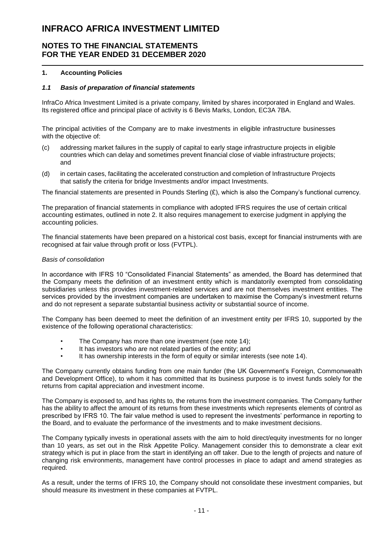### **NOTES TO THE FINANCIAL STATEMENTS FOR THE YEAR ENDED 31 DECEMBER 2020**

#### **1. Accounting Policies**

#### *1.1 Basis of preparation of financial statements*

InfraCo Africa Investment Limited is a private company, limited by shares incorporated in England and Wales. Its registered office and principal place of activity is 6 Bevis Marks, London, EC3A 7BA.

The principal activities of the Company are to make investments in eligible infrastructure businesses with the objective of:

- (c) addressing market failures in the supply of capital to early stage infrastructure projects in eligible countries which can delay and sometimes prevent financial close of viable infrastructure projects; and
- (d) in certain cases, facilitating the accelerated construction and completion of Infrastructure Projects that satisfy the criteria for bridge Investments and/or impact Investments.

The financial statements are presented in Pounds Sterling  $(E)$ , which is also the Company's functional currency.

The preparation of financial statements in compliance with adopted IFRS requires the use of certain critical accounting estimates, outlined in note 2. It also requires management to exercise judgment in applying the accounting policies.

The financial statements have been prepared on a historical cost basis, except for financial instruments with are recognised at fair value through profit or loss (FVTPL).

#### *Basis of consolidation*

In accordance with IFRS 10 "Consolidated Financial Statements" as amended, the Board has determined that the Company meets the definition of an investment entity which is mandatorily exempted from consolidating subsidiaries unless this provides investment-related services and are not themselves investment entities. The services provided by the investment companies are undertaken to maximise the Company's investment returns and do not represent a separate substantial business activity or substantial source of income.

The Company has been deemed to meet the definition of an investment entity per IFRS 10, supported by the existence of the following operational characteristics:

- The Company has more than one investment (see note 14):
- It has investors who are not related parties of the entity; and
- It has ownership interests in the form of equity or similar interests (see note 14).

The Company currently obtains funding from one main funder (the UK Government's Foreign, Commonwealth and Development Office), to whom it has committed that its business purpose is to invest funds solely for the returns from capital appreciation and investment income.

The Company is exposed to, and has rights to, the returns from the investment companies. The Company further has the ability to affect the amount of its returns from these investments which represents elements of control as prescribed by IFRS 10. The fair value method is used to represent the investments' performance in reporting to the Board, and to evaluate the performance of the investments and to make investment decisions.

The Company typically invests in operational assets with the aim to hold direct/equity investments for no longer than 10 years, as set out in the Risk Appetite Policy. Management consider this to demonstrate a clear exit strategy which is put in place from the start in identifying an off taker. Due to the length of projects and nature of changing risk environments, management have control processes in place to adapt and amend strategies as required.

As a result, under the terms of IFRS 10, the Company should not consolidate these investment companies, but should measure its investment in these companies at FVTPL.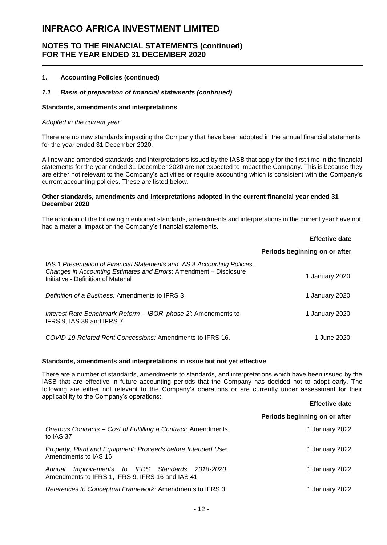### **NOTES TO THE FINANCIAL STATEMENTS (continued) FOR THE YEAR ENDED 31 DECEMBER 2020**

#### **1. Accounting Policies (continued)**

#### *1.1 Basis of preparation of financial statements (continued)*

#### **Standards, amendments and interpretations**

#### *Adopted in the current year*

There are no new standards impacting the Company that have been adopted in the annual financial statements for the year ended 31 December 2020.

All new and amended standards and Interpretations issued by the IASB that apply for the first time in the financial statements for the year ended 31 December 2020 are not expected to impact the Company. This is because they are either not relevant to the Company's activities or require accounting which is consistent with the Company's current accounting policies. These are listed below.

#### **Other standards, amendments and interpretations adopted in the current financial year ended 31 December 2020**

The adoption of the following mentioned standards, amendments and interpretations in the current year have not had a material impact on the Company's financial statements.

|                                                                                                                                                                                        | <b>Effective date</b>         |
|----------------------------------------------------------------------------------------------------------------------------------------------------------------------------------------|-------------------------------|
|                                                                                                                                                                                        | Periods beginning on or after |
| IAS 1 Presentation of Financial Statements and IAS 8 Accounting Policies,<br>Changes in Accounting Estimates and Errors: Amendment – Disclosure<br>Initiative - Definition of Material | 1 January 2020                |
| Definition of a Business: Amendments to IFRS 3                                                                                                                                         | 1 January 2020                |
| Interest Rate Benchmark Reform - IBOR 'phase 2': Amendments to<br>IFRS 9, IAS 39 and IFRS 7                                                                                            | 1 January 2020                |
| COVID-19-Related Rent Concessions: Amendments to IFRS 16.                                                                                                                              | 1 June 2020                   |

#### **Standards, amendments and interpretations in issue but not yet effective**

There are a number of standards, amendments to standards, and interpretations which have been issued by the IASB that are effective in future accounting periods that the Company has decided not to adopt early. The following are either not relevant to the Company's operations or are currently under assessment for their applicability to the Company's operations: **Effective date**

|                                                                                                         | <b>Ellective date</b>         |
|---------------------------------------------------------------------------------------------------------|-------------------------------|
|                                                                                                         | Periods beginning on or after |
| Onerous Contracts – Cost of Fulfilling a Contract: Amendments<br>to IAS 37                              | 1 January 2022                |
| Property, Plant and Equipment: Proceeds before Intended Use:<br>Amendments to IAS 16                    | 1 January 2022                |
| Improvements to IFRS Standards 2018-2020:<br>Annual<br>Amendments to IFRS 1, IFRS 9, IFRS 16 and IAS 41 | 1 January 2022                |
| References to Conceptual Framework: Amendments to IFRS 3                                                | 1 January 2022                |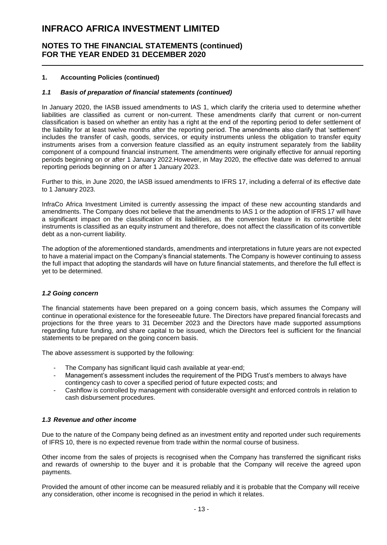### **NOTES TO THE FINANCIAL STATEMENTS (continued) FOR THE YEAR ENDED 31 DECEMBER 2020**

#### **1. Accounting Policies (continued)**

#### *1.1 Basis of preparation of financial statements (continued)*

In January 2020, the IASB issued amendments to IAS 1, which clarify the criteria used to determine whether liabilities are classified as current or non-current. These amendments clarify that current or non-current classification is based on whether an entity has a right at the end of the reporting period to defer settlement of the liability for at least twelve months after the reporting period. The amendments also clarify that 'settlement' includes the transfer of cash, goods, services, or equity instruments unless the obligation to transfer equity instruments arises from a conversion feature classified as an equity instrument separately from the liability component of a compound financial instrument. The amendments were originally effective for annual reporting periods beginning on or after 1 January 2022.However, in May 2020, the effective date was deferred to annual reporting periods beginning on or after 1 January 2023.

Further to this, in June 2020, the IASB issued amendments to IFRS 17, including a deferral of its effective date to 1 January 2023.

InfraCo Africa Investment Limited is currently assessing the impact of these new accounting standards and amendments. The Company does not believe that the amendments to IAS 1 or the adoption of IFRS 17 will have a significant impact on the classification of its liabilities, as the conversion feature in its convertible debt instruments is classified as an equity instrument and therefore, does not affect the classification of its convertible debt as a non-current liability.

The adoption of the aforementioned standards, amendments and interpretations in future years are not expected to have a material impact on the Company's financial statements. The Company is however continuing to assess the full impact that adopting the standards will have on future financial statements, and therefore the full effect is yet to be determined.

#### *1.2 Going concern*

The financial statements have been prepared on a going concern basis, which assumes the Company will continue in operational existence for the foreseeable future. The Directors have prepared financial forecasts and projections for the three years to 31 December 2023 and the Directors have made supported assumptions regarding future funding, and share capital to be issued, which the Directors feel is sufficient for the financial statements to be prepared on the going concern basis.

The above assessment is supported by the following:

- The Company has significant liquid cash available at year-end;
- Management's assessment includes the requirement of the PIDG Trust's members to always have contingency cash to cover a specified period of future expected costs; and
- Cashflow is controlled by management with considerable oversight and enforced controls in relation to cash disbursement procedures.

#### *1.3 Revenue and other income*

Due to the nature of the Company being defined as an investment entity and reported under such requirements of IFRS 10, there is no expected revenue from trade within the normal course of business.

Other income from the sales of projects is recognised when the Company has transferred the significant risks and rewards of ownership to the buyer and it is probable that the Company will receive the agreed upon payments.

Provided the amount of other income can be measured reliably and it is probable that the Company will receive any consideration, other income is recognised in the period in which it relates.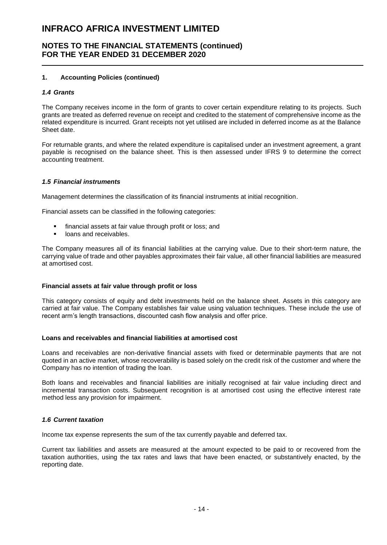### **NOTES TO THE FINANCIAL STATEMENTS (continued) FOR THE YEAR ENDED 31 DECEMBER 2020**

#### **1. Accounting Policies (continued)**

#### *1.4 Grants*

The Company receives income in the form of grants to cover certain expenditure relating to its projects. Such grants are treated as deferred revenue on receipt and credited to the statement of comprehensive income as the related expenditure is incurred. Grant receipts not yet utilised are included in deferred income as at the Balance Sheet date.

For returnable grants, and where the related expenditure is capitalised under an investment agreement, a grant payable is recognised on the balance sheet. This is then assessed under IFRS 9 to determine the correct accounting treatment.

#### *1.5 Financial instruments*

Management determines the classification of its financial instruments at initial recognition.

Financial assets can be classified in the following categories:

- financial assets at fair value through profit or loss; and
- **IDANS** and receivables.

The Company measures all of its financial liabilities at the carrying value. Due to their short-term nature, the carrying value of trade and other payables approximates their fair value, all other financial liabilities are measured at amortised cost.

#### **Financial assets at fair value through profit or loss**

This category consists of equity and debt investments held on the balance sheet. Assets in this category are carried at fair value. The Company establishes fair value using valuation techniques. These include the use of recent arm's length transactions, discounted cash flow analysis and offer price.

#### **Loans and receivables and financial liabilities at amortised cost**

Loans and receivables are non-derivative financial assets with fixed or determinable payments that are not quoted in an active market, whose recoverability is based solely on the credit risk of the customer and where the Company has no intention of trading the loan.

Both loans and receivables and financial liabilities are initially recognised at fair value including direct and incremental transaction costs. Subsequent recognition is at amortised cost using the effective interest rate method less any provision for impairment.

#### *1.6 Current taxation*

Income tax expense represents the sum of the tax currently payable and deferred tax.

Current tax liabilities and assets are measured at the amount expected to be paid to or recovered from the taxation authorities, using the tax rates and laws that have been enacted, or substantively enacted, by the reporting date.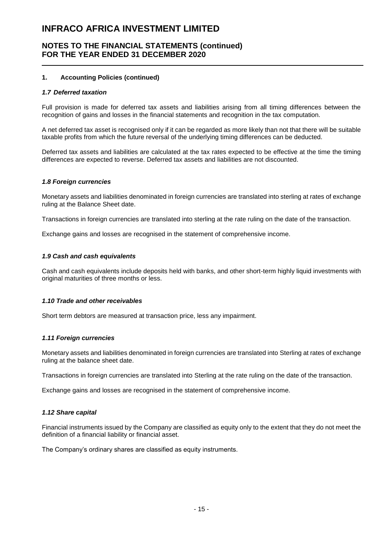### **NOTES TO THE FINANCIAL STATEMENTS (continued) FOR THE YEAR ENDED 31 DECEMBER 2020**

#### **1. Accounting Policies (continued)**

#### *1.7 Deferred taxation*

Full provision is made for deferred tax assets and liabilities arising from all timing differences between the recognition of gains and losses in the financial statements and recognition in the tax computation.

A net deferred tax asset is recognised only if it can be regarded as more likely than not that there will be suitable taxable profits from which the future reversal of the underlying timing differences can be deducted.

Deferred tax assets and liabilities are calculated at the tax rates expected to be effective at the time the timing differences are expected to reverse. Deferred tax assets and liabilities are not discounted.

#### *1.8 Foreign currencies*

Monetary assets and liabilities denominated in foreign currencies are translated into sterling at rates of exchange ruling at the Balance Sheet date.

Transactions in foreign currencies are translated into sterling at the rate ruling on the date of the transaction.

Exchange gains and losses are recognised in the statement of comprehensive income.

#### *1.9 Cash and cash equivalents*

Cash and cash equivalents include deposits held with banks, and other short-term highly liquid investments with original maturities of three months or less.

#### *1.10 Trade and other receivables*

Short term debtors are measured at transaction price, less any impairment.

#### *1.11 Foreign currencies*

Monetary assets and liabilities denominated in foreign currencies are translated into Sterling at rates of exchange ruling at the balance sheet date.

Transactions in foreign currencies are translated into Sterling at the rate ruling on the date of the transaction.

Exchange gains and losses are recognised in the statement of comprehensive income.

#### *1.12 Share capital*

Financial instruments issued by the Company are classified as equity only to the extent that they do not meet the definition of a financial liability or financial asset.

The Company's ordinary shares are classified as equity instruments.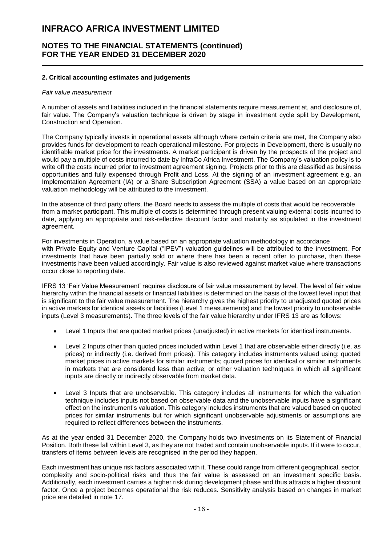### **NOTES TO THE FINANCIAL STATEMENTS (continued) FOR THE YEAR ENDED 31 DECEMBER 2020**

#### **2. Critical accounting estimates and judgements**

#### *Fair value measurement*

A number of assets and liabilities included in the financial statements require measurement at, and disclosure of, fair value. The Company's valuation technique is driven by stage in investment cycle split by Development, Construction and Operation.

The Company typically invests in operational assets although where certain criteria are met, the Company also provides funds for development to reach operational milestone. For projects in Development, there is usually no identifiable market price for the investments. A market participant is driven by the prospects of the project and would pay a multiple of costs incurred to date by InfraCo Africa Investment. The Company's valuation policy is to write off the costs incurred prior to investment agreement signing. Projects prior to this are classified as business opportunities and fully expensed through Profit and Loss. At the signing of an investment agreement e.g. an Implementation Agreement (IA) or a Share Subscription Agreement (SSA) a value based on an appropriate valuation methodology will be attributed to the investment.

In the absence of third party offers, the Board needs to assess the multiple of costs that would be recoverable from a market participant. This multiple of costs is determined through present valuing external costs incurred to date, applying an appropriate and risk-reflective discount factor and maturity as stipulated in the investment agreement.

For investments in Operation, a value based on an appropriate valuation methodology in accordance with Private Equity and Venture Capital ("IPEV") valuation guidelines will be attributed to the investment. For investments that have been partially sold or where there has been a recent offer to purchase, then these investments have been valued accordingly. Fair value is also reviewed against market value where transactions occur close to reporting date.

IFRS 13 'Fair Value Measurement' requires disclosure of fair value measurement by level. The level of fair value hierarchy within the financial assets or financial liabilities is determined on the basis of the lowest level input that is significant to the fair value measurement. The hierarchy gives the highest priority to unadjusted quoted prices in active markets for identical assets or liabilities (Level 1 measurements) and the lowest priority to unobservable inputs (Level 3 measurements). The three levels of the fair value hierarchy under IFRS 13 are as follows:

- Level 1 Inputs that are quoted market prices (unadjusted) in active markets for identical instruments.
- Level 2 Inputs other than quoted prices included within Level 1 that are observable either directly (i.e. as prices) or indirectly (i.e. derived from prices). This category includes instruments valued using: quoted market prices in active markets for similar instruments; quoted prices for identical or similar instruments in markets that are considered less than active; or other valuation techniques in which all significant inputs are directly or indirectly observable from market data.
- Level 3 Inputs that are unobservable. This category includes all instruments for which the valuation technique includes inputs not based on observable data and the unobservable inputs have a significant effect on the instrument's valuation. This category includes instruments that are valued based on quoted prices for similar instruments but for which significant unobservable adjustments or assumptions are required to reflect differences between the instruments.

As at the year ended 31 December 2020, the Company holds two investments on its Statement of Financial Position. Both these fall within Level 3, as they are not traded and contain unobservable inputs. If it were to occur, transfers of items between levels are recognised in the period they happen.

Each investment has unique risk factors associated with it. These could range from different geographical, sector, complexity and socio-political risks and thus the fair value is assessed on an investment specific basis. Additionally, each investment carries a higher risk during development phase and thus attracts a higher discount factor. Once a project becomes operational the risk reduces. Sensitivity analysis based on changes in market price are detailed in note 17.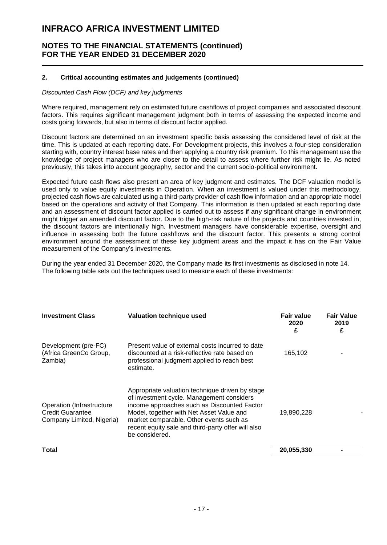### **NOTES TO THE FINANCIAL STATEMENTS (continued) FOR THE YEAR ENDED 31 DECEMBER 2020**

#### **2. Critical accounting estimates and judgements (continued)**

#### *Discounted Cash Flow (DCF) and key judgments*

Where required, management rely on estimated future cashflows of project companies and associated discount factors. This requires significant management judgment both in terms of assessing the expected income and costs going forwards, but also in terms of discount factor applied.

Discount factors are determined on an investment specific basis assessing the considered level of risk at the time. This is updated at each reporting date. For Development projects, this involves a four-step consideration starting with, country interest base rates and then applying a country risk premium. To this management use the knowledge of project managers who are closer to the detail to assess where further risk might lie. As noted previously, this takes into account geography, sector and the current socio-political environment.

Expected future cash flows also present an area of key judgment and estimates. The DCF valuation model is used only to value equity investments in Operation. When an investment is valued under this methodology, projected cash flows are calculated using a third-party provider of cash flow information and an appropriate model based on the operations and activity of that Company. This information is then updated at each reporting date and an assessment of discount factor applied is carried out to assess if any significant change in environment might trigger an amended discount factor. Due to the high-risk nature of the projects and countries invested in, the discount factors are intentionally high. Investment managers have considerable expertise, oversight and influence in assessing both the future cashflows and the discount factor. This presents a strong control environment around the assessment of these key judgment areas and the impact it has on the Fair Value measurement of the Company's investments.

During the year ended 31 December 2020, the Company made its first investments as disclosed in note 14. The following table sets out the techniques used to measure each of these investments:

| <b>Investment Class</b>                                                           | Valuation technique used                                                                                                                                                                                                                                                                                   | Fair value<br>2020<br>£ | <b>Fair Value</b><br>2019<br>£ |
|-----------------------------------------------------------------------------------|------------------------------------------------------------------------------------------------------------------------------------------------------------------------------------------------------------------------------------------------------------------------------------------------------------|-------------------------|--------------------------------|
| Development (pre-FC)<br>(Africa GreenCo Group,<br>Zambia)                         | Present value of external costs incurred to date<br>discounted at a risk-reflective rate based on<br>professional judgment applied to reach best<br>estimate.                                                                                                                                              | 165,102                 |                                |
| Operation (Infrastructure<br><b>Credit Guarantee</b><br>Company Limited, Nigeria) | Appropriate valuation technique driven by stage<br>of investment cycle. Management considers<br>income approaches such as Discounted Factor<br>Model, together with Net Asset Value and<br>market comparable. Other events such as<br>recent equity sale and third-party offer will also<br>be considered. | 19,890,228              |                                |
| Total                                                                             |                                                                                                                                                                                                                                                                                                            | 20,055,330              |                                |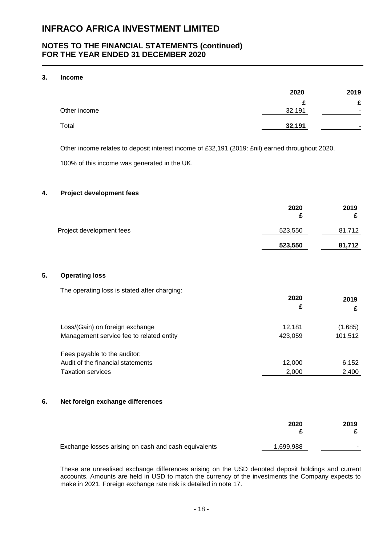### **NOTES TO THE FINANCIAL STATEMENTS (continued) FOR THE YEAR ENDED 31 DECEMBER 2020**

#### **3. Income**

|              | 2020   | 2019 |
|--------------|--------|------|
|              | c      | £    |
| Other income | 32,191 |      |
| Total        | 32,191 | -    |

Other income relates to deposit interest income of £32,191 (2019: £nil) earned throughout 2020.

100% of this income was generated in the UK.

#### **4. Project development fees**

|                          | 2020<br>c | 2019   |
|--------------------------|-----------|--------|
| Project development fees | 523,550   | 81,712 |
|                          | 523,550   | 81,712 |

#### **5. Operating loss**

The operating loss is stated after charging:

|                                          | 2020    | 2019    |  |
|------------------------------------------|---------|---------|--|
|                                          | £       | £       |  |
| Loss/(Gain) on foreign exchange          | 12.181  | (1,685) |  |
| Management service fee to related entity | 423.059 | 101,512 |  |
| Fees payable to the auditor:             |         |         |  |
| Audit of the financial statements        | 12,000  | 6,152   |  |
| <b>Taxation services</b>                 | 2,000   | 2,400   |  |

#### **6. Net foreign exchange differences**

|                                                      | 2020      | 2019 |
|------------------------------------------------------|-----------|------|
| Exchange losses arising on cash and cash equivalents | 1,699,988 | -    |

These are unrealised exchange differences arising on the USD denoted deposit holdings and current accounts. Amounts are held in USD to match the currency of the investments the Company expects to make in 2021. Foreign exchange rate risk is detailed in note 17.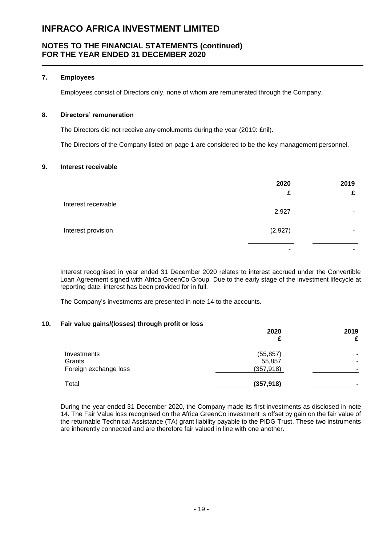### **NOTES TO THE FINANCIAL STATEMENTS (continued) FOR THE YEAR ENDED 31 DECEMBER 2020**

#### **7. Employees**

Employees consist of Directors only, none of whom are remunerated through the Company.

#### **8. Directors' remuneration**

The Directors did not receive any emoluments during the year (2019: £nil).

The Directors of the Company listed on page 1 are considered to be the key management personnel.

#### **9. Interest receivable**

|                     | 2020<br>£ | 2019<br>£      |
|---------------------|-----------|----------------|
| Interest receivable | 2,927     | -              |
| Interest provision  | (2,927)   | ۰              |
|                     |           | $\blacksquare$ |

Interest recognised in year ended 31 December 2020 relates to interest accrued under the Convertible Loan Agreement signed with Africa GreenCo Group. Due to the early stage of the investment lifecycle at reporting date, interest has been provided for in full.

The Company's investments are presented in note 14 to the accounts.

#### **10. Fair value gains/(losses) through profit or loss**

|                       | 2020       | 2019<br>£      |
|-----------------------|------------|----------------|
| Investments           | (55, 857)  | ۰              |
| Grants                | 55,857     | ۰              |
| Foreign exchange loss | (357, 918) | -              |
| Total                 | (357, 918) | $\blacksquare$ |

During the year ended 31 December 2020, the Company made its first investments as disclosed in note 14. The Fair Value loss recognised on the Africa GreenCo investment is offset by gain on the fair value of the returnable Technical Assistance (TA) grant liability payable to the PIDG Trust. These two instruments are inherently connected and are therefore fair valued in line with one another.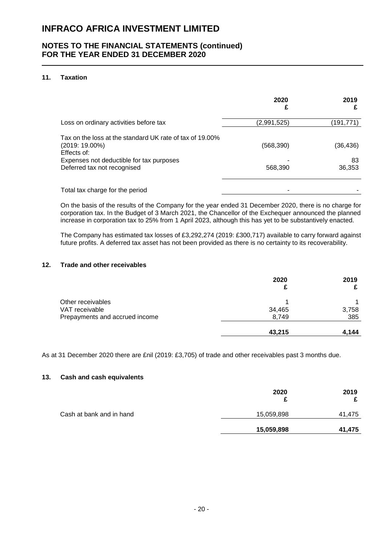### **NOTES TO THE FINANCIAL STATEMENTS (continued) FOR THE YEAR ENDED 31 DECEMBER 2020**

#### **11. Taxation**

|                                                                                             | 2020<br>£   | 2019         |
|---------------------------------------------------------------------------------------------|-------------|--------------|
| Loss on ordinary activities before tax                                                      | (2,991,525) | (191,771)    |
| Tax on the loss at the standard UK rate of tax of 19,00%<br>$(2019:19.00\%)$<br>Effects of: | (568, 390)  | (36,436)     |
| Expenses not deductible for tax purposes<br>Deferred tax not recognised                     | 568,390     | 83<br>36,353 |
| Total tax charge for the period                                                             |             |              |

On the basis of the results of the Company for the year ended 31 December 2020, there is no charge for corporation tax. In the Budget of 3 March 2021, the Chancellor of the Exchequer announced the planned increase in corporation tax to 25% from 1 April 2023, although this has yet to be substantively enacted.

The Company has estimated tax losses of £3,292,274 (2019: £300,717) available to carry forward against future profits. A deferred tax asset has not been provided as there is no certainty to its recoverability.

#### **12. Trade and other receivables**

|                                | 2020   | 2019  |
|--------------------------------|--------|-------|
| Other receivables              |        |       |
| VAT receivable                 | 34,465 | 3,758 |
| Prepayments and accrued income | 8,749  | 385   |
|                                | 43,215 | 4,144 |

As at 31 December 2020 there are £nil (2019: £3,705) of trade and other receivables past 3 months due.

#### **13. Cash and cash equivalents**

|                          | 2020<br>£  | 2019   |
|--------------------------|------------|--------|
| Cash at bank and in hand | 15,059,898 | 41,475 |
|                          | 15,059,898 | 41,475 |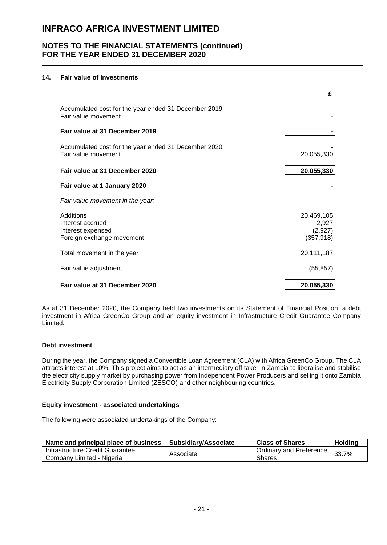### **NOTES TO THE FINANCIAL STATEMENTS (continued) FOR THE YEAR ENDED 31 DECEMBER 2020**

#### **14. Fair value of investments**

|                                                                                 | £                                            |
|---------------------------------------------------------------------------------|----------------------------------------------|
| Accumulated cost for the year ended 31 December 2019<br>Fair value movement     |                                              |
| Fair value at 31 December 2019                                                  |                                              |
| Accumulated cost for the year ended 31 December 2020<br>Fair value movement     | 20,055,330                                   |
| Fair value at 31 December 2020                                                  | 20,055,330                                   |
| Fair value at 1 January 2020                                                    |                                              |
| Fair value movement in the year:                                                |                                              |
| Additions<br>Interest accrued<br>Interest expensed<br>Foreign exchange movement | 20,469,105<br>2,927<br>(2,927)<br>(357, 918) |
| Total movement in the year                                                      | 20,111,187                                   |
| Fair value adjustment                                                           | (55, 857)                                    |
| Fair value at 31 December 2020                                                  | 20,055,330                                   |

As at 31 December 2020, the Company held two investments on its Statement of Financial Position, a debt investment in Africa GreenCo Group and an equity investment in Infrastructure Credit Guarantee Company Limited.

#### **Debt investment**

During the year, the Company signed a Convertible Loan Agreement (CLA) with Africa GreenCo Group. The CLA attracts interest at 10%. This project aims to act as an intermediary off taker in Zambia to liberalise and stabilise the electricity supply market by purchasing power from Independent Power Producers and selling it onto Zambia Electricity Supply Corporation Limited (ZESCO) and other neighbouring countries.

#### **Equity investment - associated undertakings**

The following were associated undertakings of the Company:

| Name and principal place of business | ∣ Subsidiary/Associate | <b>Class of Shares</b>  | <b>Holding</b> |
|--------------------------------------|------------------------|-------------------------|----------------|
| Infrastructure Credit Guarantee      | Associate              | Ordinary and Preference | 33.7%          |
| Company Limited - Nigeria            |                        | <b>Shares</b>           |                |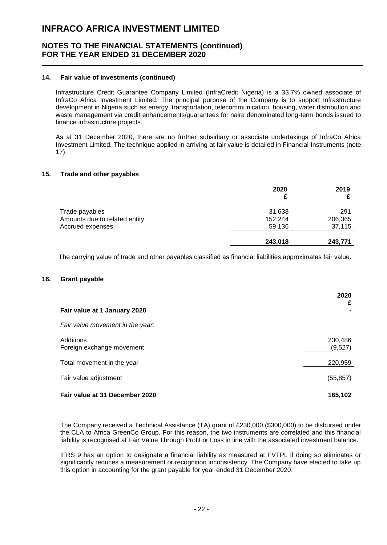### **NOTES TO THE FINANCIAL STATEMENTS (continued) FOR THE YEAR ENDED 31 DECEMBER 2020**

#### **14. Fair value of investments (continued)**

Infrastructure Credit Guarantee Company Limited (InfraCredit Nigeria) is a 33.7% owned associate of InfraCo Africa Investment Limited. The principal purpose of the Company is to support infrastructure development in Nigeria such as energy, transportation, telecommunication, housing, water distribution and waste management via credit enhancements/guarantees for naira denominated long-term bonds issued to finance infrastructure projects.

As at 31 December 2020, there are no further subsidiary or associate undertakings of InfraCo Africa Investment Limited. The technique applied in arriving at fair value is detailed in Financial Instruments (note 17).

#### **15. Trade and other payables**

|                               | 2020    | 2019    |
|-------------------------------|---------|---------|
| Trade payables                | 31,638  | 291     |
| Amounts due to related entity | 152,244 | 206,365 |
| Accrued expenses              | 59,136  | 37,115  |
|                               | 243,018 | 243,771 |

The carrying value of trade and other payables classified as financial liabilities approximates fair value.

#### **16. Grant payable**

|                                        | 2020<br>£          |
|----------------------------------------|--------------------|
| Fair value at 1 January 2020           |                    |
| Fair value movement in the year:       |                    |
| Additions<br>Foreign exchange movement | 230,486<br>(9,527) |
| Total movement in the year             | 220,959            |
| Fair value adjustment                  | (55, 857)          |
| Fair value at 31 December 2020         | 165,102            |

The Company received a Technical Assistance (TA) grant of £230,000 (\$300,000) to be disbursed under the CLA to Africa GreenCo Group. For this reason, the two instruments are correlated and this financial liability is recognised at Fair Value Through Profit or Loss in line with the associated investment balance.

IFRS 9 has an option to designate a financial liability as measured at FVTPL if doing so eliminates or significantly reduces a measurement or recognition inconsistency. The Company have elected to take up this option in accounting for the grant payable for year ended 31 December 2020.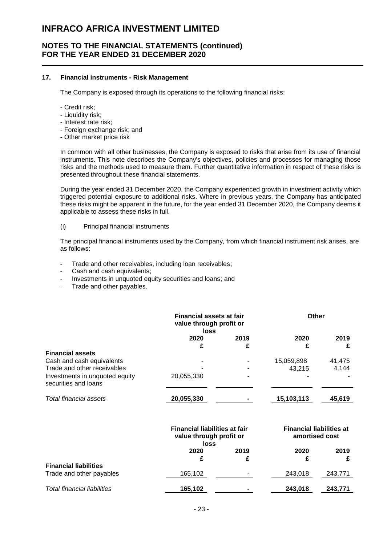### **NOTES TO THE FINANCIAL STATEMENTS (continued) FOR THE YEAR ENDED 31 DECEMBER 2020**

#### **17. Financial instruments - Risk Management**

The Company is exposed through its operations to the following financial risks:

- Credit risk;
- Liquidity risk;
- Interest rate risk;
- Foreign exchange risk; and
- Other market price risk

In common with all other businesses, the Company is exposed to risks that arise from its use of financial instruments. This note describes the Company's objectives, policies and processes for managing those risks and the methods used to measure them. Further quantitative information in respect of these risks is presented throughout these financial statements.

During the year ended 31 December 2020, the Company experienced growth in investment activity which triggered potential exposure to additional risks. Where in previous years, the Company has anticipated these risks might be apparent in the future, for the year ended 31 December 2020, the Company deems it applicable to assess these risks in full.

#### (i) Principal financial instruments

The principal financial instruments used by the Company, from which financial instrument risk arises, are as follows:

- Trade and other receivables, including loan receivables;
- Cash and cash equivalents;
- Investments in unquoted equity securities and loans; and
- Trade and other payables.

|                                                        | <b>Financial assets at fair</b><br>value through profit or<br>loss |      | Other      |        |
|--------------------------------------------------------|--------------------------------------------------------------------|------|------------|--------|
|                                                        | 2020                                                               | 2019 | 2020       | 2019   |
|                                                        | £                                                                  | £    | £          | £      |
| <b>Financial assets</b>                                |                                                                    |      |            |        |
| Cash and cash equivalents                              |                                                                    |      | 15,059,898 | 41,475 |
| Trade and other receivables                            |                                                                    |      | 43,215     | 4,144  |
| Investments in unquoted equity<br>securities and loans | 20,055,330                                                         |      |            |        |
| Total financial assets                                 | 20,055,330                                                         |      | 15,103,113 | 45,619 |
|                                                        |                                                                    |      |            |        |

|                                                          | <b>Financial liabilities at fair</b><br>value through profit or<br>loss |                | <b>Financial liabilities at</b><br>amortised cost |         |
|----------------------------------------------------------|-------------------------------------------------------------------------|----------------|---------------------------------------------------|---------|
|                                                          | 2020<br>£                                                               | 2019           | 2020                                              | 2019    |
| <b>Financial liabilities</b><br>Trade and other payables | 165,102                                                                 |                | 243.018                                           | 243,771 |
| Total financial liabilities                              | 165,102                                                                 | $\blacksquare$ | 243,018                                           | 243,771 |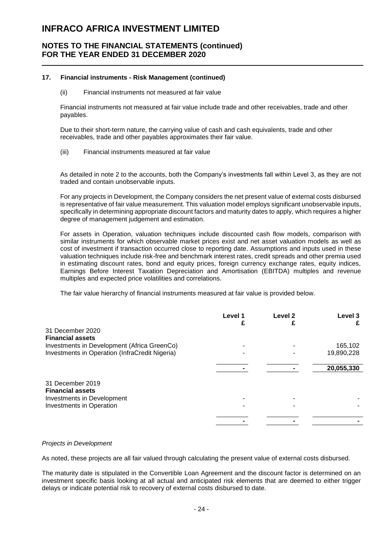### **NOTES TO THE FINANCIAL STATEMENTS (continued) FOR THE YEAR ENDED 31 DECEMBER 2020**

#### **17. Financial instruments - Risk Management (continued)**

#### (ii) Financial instruments not measured at fair value

Financial instruments not measured at fair value include trade and other receivables, trade and other payables.

Due to their short-term nature, the carrying value of cash and cash equivalents, trade and other receivables, trade and other payables approximates their fair value.

(iii) Financial instruments measured at fair value

As detailed in note 2 to the accounts, both the Company's investments fall within Level 3, as they are not traded and contain unobservable inputs.

For any projects in Development, the Company considers the net present value of external costs disbursed is representative of fair value measurement. This valuation model employs significant unobservable inputs, specifically in determining appropriate discount factors and maturity dates to apply, which requires a higher degree of management judgement and estimation.

For assets in Operation, valuation techniques include discounted cash flow models, comparison with similar instruments for which observable market prices exist and net asset valuation models as well as cost of investment if transaction occurred close to reporting date. Assumptions and inputs used in these valuation techniques include risk-free and benchmark interest rates, credit spreads and other premia used in estimating discount rates, bond and equity prices, foreign currency exchange rates, equity indices, Earnings Before Interest Taxation Depreciation and Amortisation (EBITDA) multiples and revenue multiples and expected price volatilities and correlations.

The fair value hierarchy of financial instruments measured at fair value is provided below.

|                                                | Level 1 | Level <sub>2</sub> | Level <sub>3</sub> |
|------------------------------------------------|---------|--------------------|--------------------|
|                                                |         |                    |                    |
| 31 December 2020                               |         |                    |                    |
| <b>Financial assets</b>                        |         |                    |                    |
| Investments in Development (Africa GreenCo)    |         |                    | 165,102            |
| Investments in Operation (InfraCredit Nigeria) |         |                    | 19,890,228         |
|                                                |         |                    |                    |
|                                                |         |                    | 20,055,330         |
| 31 December 2019                               |         |                    |                    |
| <b>Financial assets</b>                        |         |                    |                    |
| Investments in Development                     |         |                    |                    |
| Investments in Operation                       |         |                    |                    |
|                                                |         |                    |                    |
|                                                |         |                    |                    |

#### *Projects in Development*

As noted, these projects are all fair valued through calculating the present value of external costs disbursed.

The maturity date is stipulated in the Convertible Loan Agreement and the discount factor is determined on an investment specific basis looking at all actual and anticipated risk elements that are deemed to either trigger delays or indicate potential risk to recovery of external costs disbursed to date.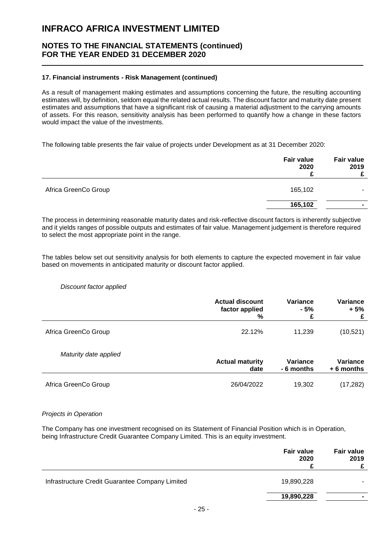### **NOTES TO THE FINANCIAL STATEMENTS (continued) FOR THE YEAR ENDED 31 DECEMBER 2020**

#### **17. Financial instruments - Risk Management (continued)**

As a result of management making estimates and assumptions concerning the future, the resulting accounting estimates will, by definition, seldom equal the related actual results. The discount factor and maturity date present estimates and assumptions that have a significant risk of causing a material adjustment to the carrying amounts of assets. For this reason, sensitivity analysis has been performed to quantify how a change in these factors would impact the value of the investments.

The following table presents the fair value of projects under Development as at 31 December 2020:

|                      | <b>Fair value</b><br>2020 | <b>Fair value</b><br>2019<br>£ |
|----------------------|---------------------------|--------------------------------|
| Africa GreenCo Group | 165,102                   |                                |
|                      | 165,102                   | $\overline{\phantom{a}}$       |

The process in determining reasonable maturity dates and risk-reflective discount factors is inherently subjective and it yields ranges of possible outputs and estimates of fair value. Management judgement is therefore required to select the most appropriate point in the range.

The tables below set out sensitivity analysis for both elements to capture the expected movement in fair value based on movements in anticipated maturity or discount factor applied.

#### *Discount factor applied*

|                       | <b>Actual discount</b> | Variance   | Variance        |
|-----------------------|------------------------|------------|-----------------|
|                       | factor applied         | - 5%       | $+5%$           |
|                       | %                      | £          | £               |
| Africa GreenCo Group  | 22.12%                 | 11,239     | (10, 521)       |
| Maturity date applied | <b>Actual maturity</b> | Variance   | <b>Variance</b> |
|                       | date                   | - 6 months | $+6$ months     |
| Africa GreenCo Group  | 26/04/2022             | 19.302     | (17,282)        |

#### *Projects in Operation*

The Company has one investment recognised on its Statement of Financial Position which is in Operation, being Infrastructure Credit Guarantee Company Limited. This is an equity investment.

|                                                 | <b>Fair value</b><br>2020 | <b>Fair value</b><br>2019 |
|-------------------------------------------------|---------------------------|---------------------------|
| Infrastructure Credit Guarantee Company Limited | 19,890,228                |                           |
|                                                 | 19,890,228                |                           |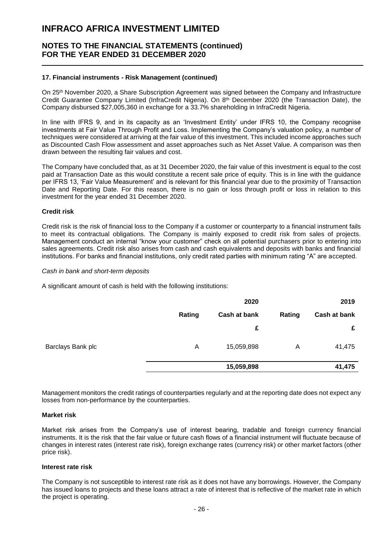### **NOTES TO THE FINANCIAL STATEMENTS (continued) FOR THE YEAR ENDED 31 DECEMBER 2020**

#### **17. Financial instruments - Risk Management (continued)**

On 25th November 2020, a Share Subscription Agreement was signed between the Company and Infrastructure Credit Guarantee Company Limited (InfraCredit Nigeria). On 8th December 2020 (the Transaction Date), the Company disbursed \$27,005,360 in exchange for a 33.7% shareholding in InfraCredit Nigeria.

In line with IFRS 9, and in its capacity as an 'Investment Entity' under IFRS 10, the Company recognise investments at Fair Value Through Profit and Loss. Implementing the Company's valuation policy, a number of techniques were considered at arriving at the fair value of this investment. This included income approaches such as Discounted Cash Flow assessment and asset approaches such as Net Asset Value. A comparison was then drawn between the resulting fair values and cost.

The Company have concluded that, as at 31 December 2020, the fair value of this investment is equal to the cost paid at Transaction Date as this would constitute a recent sale price of equity. This is in line with the guidance per IFRS 13, 'Fair Value Measurement' and is relevant for this financial year due to the proximity of Transaction Date and Reporting Date. For this reason, there is no gain or loss through profit or loss in relation to this investment for the year ended 31 December 2020.

#### **Credit risk**

Credit risk is the risk of financial loss to the Company if a customer or counterparty to a financial instrument fails to meet its contractual obligations. The Company is mainly exposed to credit risk from sales of projects. Management conduct an internal "know your customer" check on all potential purchasers prior to entering into sales agreements. Credit risk also arises from cash and cash equivalents and deposits with banks and financial institutions. For banks and financial institutions, only credit rated parties with minimum rating "A" are accepted.

#### *Cash in bank and short-term deposits*

A significant amount of cash is held with the following institutions:

|                   |        | 2020         |        | 2019         |
|-------------------|--------|--------------|--------|--------------|
|                   | Rating | Cash at bank | Rating | Cash at bank |
|                   |        | £            |        | £            |
| Barclays Bank plc | A      | 15,059,898   | A      | 41,475       |
|                   |        | 15,059,898   |        | 41,475       |

Management monitors the credit ratings of counterparties regularly and at the reporting date does not expect any losses from non-performance by the counterparties.

#### **Market risk**

Market risk arises from the Company's use of interest bearing, tradable and foreign currency financial instruments. It is the risk that the fair value or future cash flows of a financial instrument will fluctuate because of changes in interest rates (interest rate risk), foreign exchange rates (currency risk) or other market factors (other price risk).

#### **Interest rate risk**

The Company is not susceptible to interest rate risk as it does not have any borrowings. However, the Company has issued loans to projects and these loans attract a rate of interest that is reflective of the market rate in which the project is operating.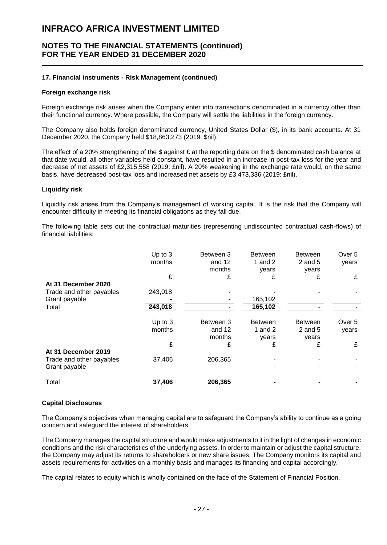### **NOTES TO THE FINANCIAL STATEMENTS (continued) FOR THE YEAR ENDED 31 DECEMBER 2020**

#### **17. Financial instruments - Risk Management (continued)**

#### **Foreign exchange risk**

Foreign exchange risk arises when the Company enter into transactions denominated in a currency other than their functional currency. Where possible, the Company will settle the liabilities in the foreign currency.

The Company also holds foreign denominated currency, United States Dollar (\$), in its bank accounts. At 31 December 2020, the Company held \$18,863,273 (2019: \$nil).

The effect of a 20% strengthening of the \$ against  $E$  at the reporting date on the \$ denominated cash balance at that date would, all other variables held constant, have resulted in an increase in post-tax loss for the year and decrease of net assets of £2,315,558 (2019: £nil). A 20% weakening in the exchange rate would, on the same basis, have decreased post-tax loss and increased net assets by £3,473,336 (2019: £nil).

#### **Liquidity risk**

Liquidity risk arises from the Company's management of working capital. It is the risk that the Company will encounter difficulty in meeting its financial obligations as they fall due.

The following table sets out the contractual maturities (representing undiscounted contractual cash-flows) of financial liabilities:

|                          | Up to 3<br>months | Between 3<br>and 12<br>months | <b>Between</b><br>1 and $2$<br>years | <b>Between</b><br>$2$ and $5$<br>years | Over 5<br>years |
|--------------------------|-------------------|-------------------------------|--------------------------------------|----------------------------------------|-----------------|
|                          | £                 | £                             | £                                    | £                                      | £               |
| At 31 December 2020      |                   |                               |                                      |                                        |                 |
| Trade and other payables | 243,018           |                               |                                      |                                        |                 |
| Grant payable            |                   |                               | 165,102                              |                                        |                 |
| Total                    | 243,018           |                               | 165,102                              |                                        |                 |
|                          | Up to 3           | Between 3                     | <b>Between</b>                       | <b>Between</b>                         | Over 5          |
|                          | months            | and 12                        | 1 and $2$                            | $2$ and $5$                            | years           |
|                          |                   | months                        | vears                                | vears                                  |                 |
|                          | £                 | £                             | £                                    | £                                      | £               |
| At 31 December 2019      |                   |                               |                                      |                                        |                 |
| Trade and other payables | 37,406            | 206,365                       |                                      |                                        |                 |
| Grant payable            |                   |                               |                                      |                                        |                 |
| Total                    | 37,406            | 206,365                       |                                      |                                        |                 |

#### **Capital Disclosures**

The Company's objectives when managing capital are to safeguard the Company's ability to continue as a going concern and safeguard the interest of shareholders.

The Company manages the capital structure and would make adjustments to it in the light of changes in economic conditions and the risk characteristics of the underlying assets. In order to maintain or adjust the capital structure, the Company may adjust its returns to shareholders or new share issues. The Company monitors its capital and assets requirements for activities on a monthly basis and manages its financing and capital accordingly.

The capital relates to equity which is wholly contained on the face of the Statement of Financial Position.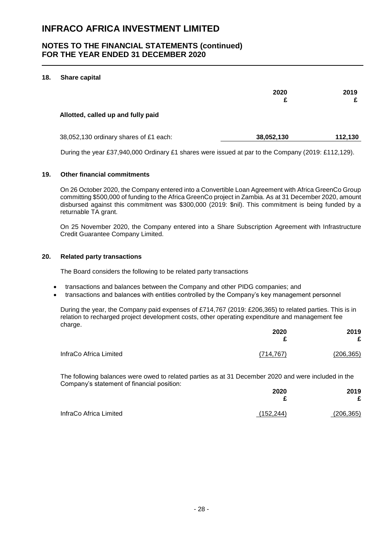### **NOTES TO THE FINANCIAL STATEMENTS (continued) FOR THE YEAR ENDED 31 DECEMBER 2020**

#### **18. Share capital**

|                                        | 2020       | 2019    |
|----------------------------------------|------------|---------|
| Allotted, called up and fully paid     |            |         |
| 38,052,130 ordinary shares of £1 each: | 38,052,130 | 112,130 |

During the year £37,940,000 Ordinary £1 shares were issued at par to the Company (2019: £112,129).

#### **19. Other financial commitments**

On 26 October 2020, the Company entered into a Convertible Loan Agreement with Africa GreenCo Group committing \$500,000 of funding to the Africa GreenCo project in Zambia. As at 31 December 2020, amount disbursed against this commitment was \$300,000 (2019: \$nil). This commitment is being funded by a returnable TA grant.

On 25 November 2020, the Company entered into a Share Subscription Agreement with Infrastructure Credit Guarantee Company Limited.

#### **20. Related party transactions**

The Board considers the following to be related party transactions

- transactions and balances between the Company and other PIDG companies; and
- transactions and balances with entities controlled by the Company's key management personnel

During the year, the Company paid expenses of £714,767 (2019: £206,365) to related parties. This is in relation to recharged project development costs, other operating expenditure and management fee charge.

|                        | 2020<br>£  | 2019<br>£  |
|------------------------|------------|------------|
| InfraCo Africa Limited | (714, 767) | (206, 365) |

The following balances were owed to related parties as at 31 December 2020 and were included in the Company's statement of financial position:

|                        | 2020       | 2019       |
|------------------------|------------|------------|
|                        |            |            |
| InfraCo Africa Limited | (152, 244) | (206, 365) |